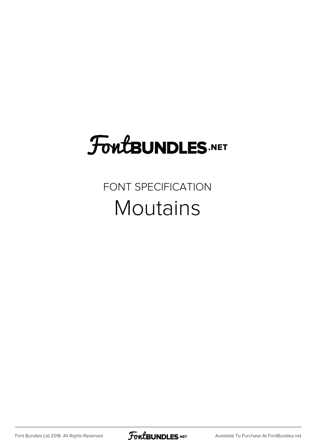# **FoutBUNDLES.NET**

#### FONT SPECIFICATION **Moutains**

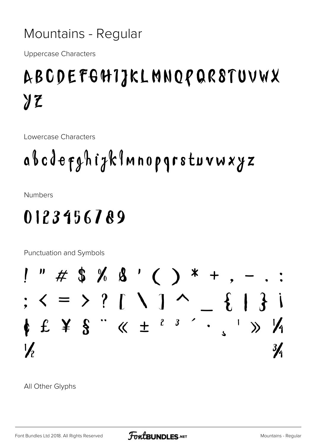#### Mountains - Regular

**Uppercase Characters** 

### ABCDEFGHIJKLMNOPQR8TUVWX  $yz$

Lowercase Characters

## abcdefghizklmnopgrstuvwxyz

**Numbers** 

#### 0123456789

Punctuation and Symbols



All Other Glyphs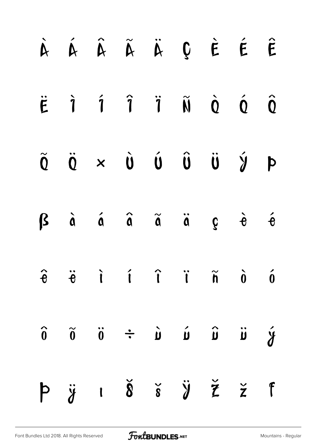|  | À Á Â Ã Ã Ä Ç È É Ê                                                                                                                                                                 |  |                                           |  |
|--|-------------------------------------------------------------------------------------------------------------------------------------------------------------------------------------|--|-------------------------------------------|--|
|  | $\ddot{E}$ $\dot{1}$ $\dot{1}$ $\ddot{1}$ $\ddot{N}$ $\dot{0}$ $\dot{0}$ $\dot{0}$                                                                                                  |  |                                           |  |
|  | $\begin{array}{ccccccccccccc}\n\widetilde{Q} & \widetilde{Q} & \times & \widetilde{Q} & \widetilde{Q} & \widetilde{Q} & \widetilde{Q} & \widetilde{Q} & \widetilde{Q}\n\end{array}$ |  |                                           |  |
|  | $\beta$ à á â ã ä                                                                                                                                                                   |  | $\hat{g}$ $\dot{\theta}$ $\acute{\theta}$ |  |
|  | $\hat{e}$ $\ddot{e}$ $\dot{t}$ $\hat{t}$ $\ddot{t}$ $\ddot{\hat{n}}$ $\dot{\hat{o}}$ $\dot{\hat{o}}$                                                                                |  |                                           |  |
|  | $\hat{\mathbf{y}} \quad \text{ii} \quad \hat{\mathbf{u}} \quad \text{iv} \quad \hat{\mathbf{u}} \quad \hat{\mathbf{v}} \quad \text{ii} \quad \hat{\mathbf{0}} \quad \text{0}$       |  |                                           |  |
|  |                                                                                                                                                                                     |  |                                           |  |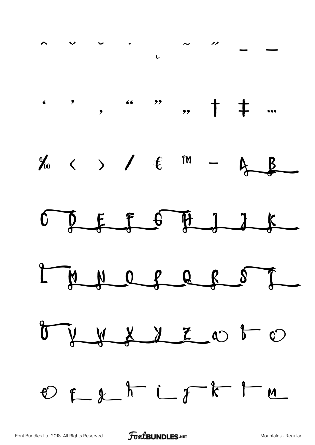

FoutBUNDLES.NET